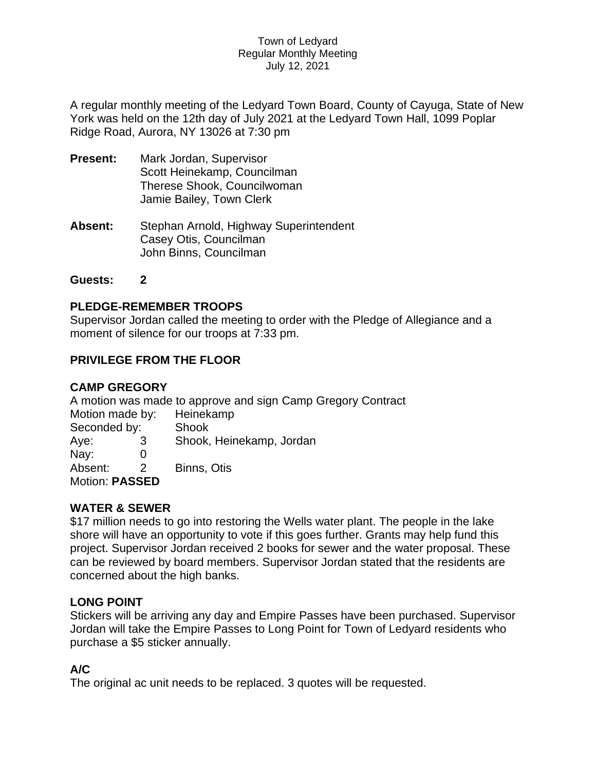#### Town of Ledyard Regular Monthly Meeting July 12, 2021

A regular monthly meeting of the Ledyard Town Board, County of Cayuga, State of New York was held on the 12th day of July 2021 at the Ledyard Town Hall, 1099 Poplar Ridge Road, Aurora, NY 13026 at 7:30 pm

- **Present:** Mark Jordan, Supervisor Scott Heinekamp, Councilman Therese Shook, Councilwoman Jamie Bailey, Town Clerk
- **Absent:** Stephan Arnold, Highway Superintendent Casey Otis, Councilman John Binns, Councilman

### **Guests: 2**

## **PLEDGE-REMEMBER TROOPS**

Supervisor Jordan called the meeting to order with the Pledge of Allegiance and a moment of silence for our troops at 7:33 pm.

# **PRIVILEGE FROM THE FLOOR**

## **CAMP GREGORY**

A motion was made to approve and sign Camp Gregory Contract

| Motion made by:<br>Seconded by: |   | Heinekamp<br>Shook |
|---------------------------------|---|--------------------|
|                                 |   |                    |
| Nay:                            |   |                    |
| Absent:                         | 2 | Binns, Otis        |
| Motion: PASSED                  |   |                    |

# **WATER & SEWER**

\$17 million needs to go into restoring the Wells water plant. The people in the lake shore will have an opportunity to vote if this goes further. Grants may help fund this project. Supervisor Jordan received 2 books for sewer and the water proposal. These can be reviewed by board members. Supervisor Jordan stated that the residents are concerned about the high banks.

### **LONG POINT**

Stickers will be arriving any day and Empire Passes have been purchased. Supervisor Jordan will take the Empire Passes to Long Point for Town of Ledyard residents who purchase a \$5 sticker annually.

# **A/C**

The original ac unit needs to be replaced. 3 quotes will be requested.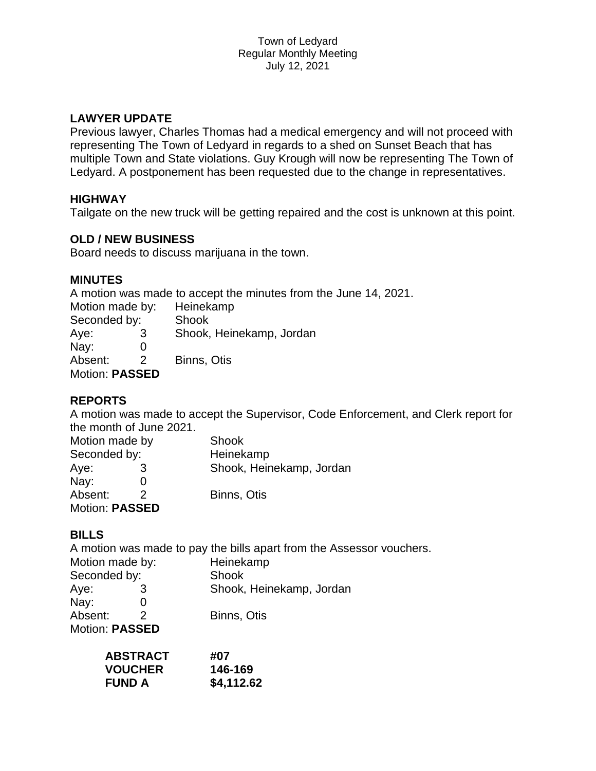# **LAWYER UPDATE**

Previous lawyer, Charles Thomas had a medical emergency and will not proceed with representing The Town of Ledyard in regards to a shed on Sunset Beach that has multiple Town and State violations. Guy Krough will now be representing The Town of Ledyard. A postponement has been requested due to the change in representatives.

## **HIGHWAY**

Tailgate on the new truck will be getting repaired and the cost is unknown at this point.

## **OLD / NEW BUSINESS**

Board needs to discuss marijuana in the town.

### **MINUTES**

A motion was made to accept the minutes from the June 14, 2021.

| Motion made by:       |   | Heinekamp                |
|-----------------------|---|--------------------------|
| Seconded by:          |   | Shook                    |
| Aye:                  | 3 | Shook, Heinekamp, Jordan |
| Nay:                  |   |                          |
| Absent:               | 2 | Binns, Otis              |
| <b>Motion: PASSED</b> |   |                          |

### **REPORTS**

A motion was made to accept the Supervisor, Code Enforcement, and Clerk report for the month of June 2021.

| Motion made by<br>Seconded by: |  | <b>Shook</b><br>Heinekamp |
|--------------------------------|--|---------------------------|
|                                |  |                           |
| Nay:                           |  |                           |
| Absent:                        |  | Binns, Otis               |
| <b>Motion: PASSED</b>          |  |                           |

# **BILLS**

A motion was made to pay the bills apart from the Assessor vouchers.

| Motion made by:<br>Seconded by: |  | Heinekamp<br>Shook |
|---------------------------------|--|--------------------|
|                                 |  |                    |
| Nay:                            |  |                    |
| Absent:                         |  | Binns, Otis        |
| Motion: PASSED                  |  |                    |

| <b>ABSTRACT</b> | #07        |
|-----------------|------------|
| <b>VOUCHER</b>  | 146-169    |
| <b>FUND A</b>   | \$4,112.62 |